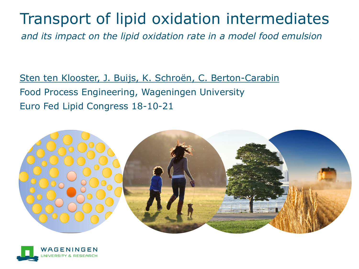## Transport of lipid oxidation intermediates

*and its impact on the lipid oxidation rate in a model food emulsion*

Sten ten Klooster, J. Buijs, K. Schroën, C. Berton-Carabin Food Process Engineering, Wageningen University Euro Fed Lipid Congress 18-10-21



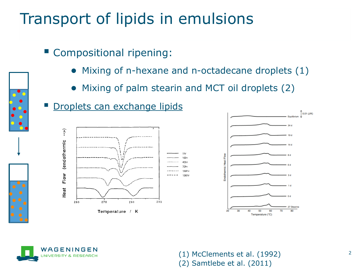# Transport of lipids in emulsions

- Compositional ripening:
	- Mixing of n-hexane and n-octadecane droplets (1)
	- Mixing of palm stearin and MCT oil droplets (2)









<sup>2</sup> (1) McClements et al. (1992) (2) Samtlebe et al. (2011)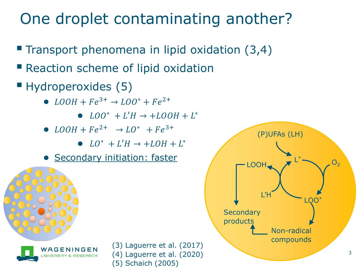# One droplet contaminating another?

- **Transport phenomena in lipid oxidation (3,4)**
- Reaction scheme of lipid oxidation
- **Hydroperoxides (5)** 
	- $LOOH + Fe^{3+} \rightarrow LOO^* + Fe^{2+}$ 
		- $LOO^* + L'H \rightarrow + LOOH + L^*$
	- $LOOH + Fe^{2+}$   $\rightarrow$   $LO^*$   $+ Fe^{3+}$ 
		- $LO^*$  +  $L'H$   $\rightarrow$  +  $LOH + L^*$
	- Secondary initiation: faster





(3) Laguerre et al. (2017) (4) Laguerre et al. (2020) (5) Schaich (2005)

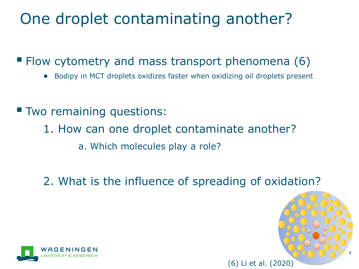## One droplet contaminating another?

■ Flow cytometry and mass transport phenomena (6)

- Bodipy in MCT droplets oxidizes faster when oxidizing oil droplets present
- **Two remaining questions:** 
	- 1. How can one droplet contaminate another? a. Which molecules play a role?
	- 2. What is the influence of spreading of oxidation?



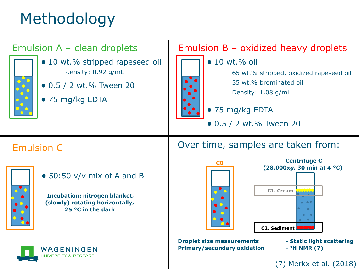# Methodology

#### Emulsion A – clean droplets



- 10 wt.% stripped rapeseed oil density: 0.92 g/mL
- 0.5 / 2 wt.% Tween 20
- 75 mg/kg EDTA



#### Emulsion B – oxidized heavy droplets

- $\bullet$  10 wt.% oil 65 wt.% stripped, oxidized rapeseed oil 35 wt.% brominated oil
	- Density: 1.08 g/mL

#### ● 75 mg/kg EDTA

● 0.5 / 2 wt.% Tween 20

Over time, samples are taken from:

#### Emulsion C



● 50:50 v/v mix of A and B

**Incubation: nitrogen blanket, (slowly) rotating horizontally, 25 °C in the dark**

WAGFNINGFN





**Droplet size measurements - Static light scattering Primary/secondary oxidation -**

**<sup>1</sup>H NMR (7)**

(7) Merkx et al. (2018)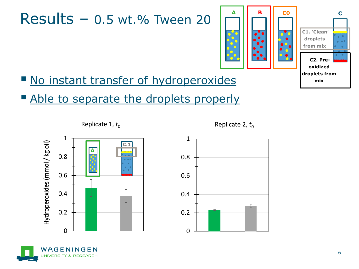## $Results - 0.5 wt. %$  Tween 20



- No instant transfer of hydroperoxides
- Able to separate the droplets properly





Replicate 2,  $t_0$ 



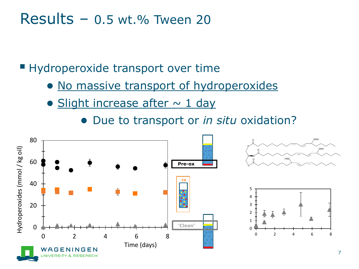#### Results –  $0.5$  wt.% Tween 20

**E** Hydroperoxide transport over time

- No massive transport of hydroperoxides
- $\bullet$  Slight increase after  $\sim$  1 day
	- Due to transport or *in situ* oxidation?

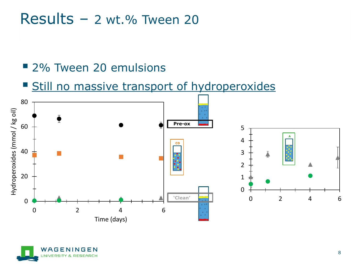#### $Results - 2 wt. %$  Tween 20

#### ■ 2% Tween 20 emulsions

#### **Still no massive transport of hydroperoxides**



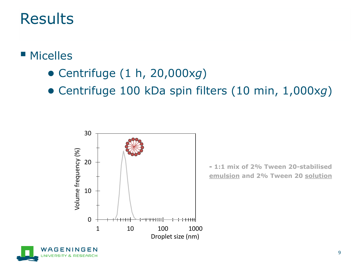#### ■ Micelles

- Centrifuge (1 h, 20,000x*g*)
- Centrifuge 100 kDa spin filters (10 min, 1,000x*g*)



**- 1:1 mix of 2% Tween 20-stabilised emulsion and 2% Tween 20 solution**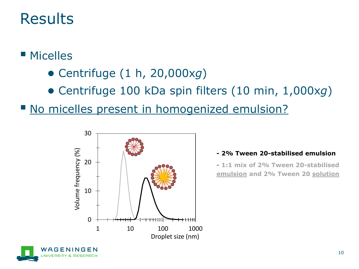#### ■ Micelles

- Centrifuge (1 h, 20,000x*g*)
- Centrifuge 100 kDa spin filters (10 min, 1,000x*g*)

No micelles present in homogenized emulsion?



#### **- 2% Tween 20-stabilised emulsion**

**- 1:1 mix of 2% Tween 20-stabilised emulsion and 2% Tween 20 solution**

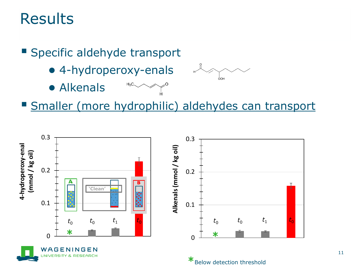**Specific aldehyde transport** 

● 4-hydroperoxy-enals

 $H_3C$ 

● Alkenals



**Smaller (more hydrophilic) aldehydes can transport** 

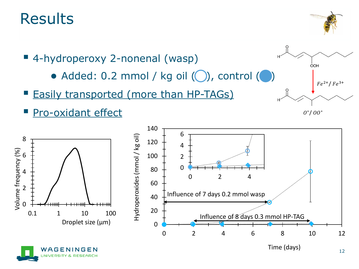



- $\bullet$  Added: 0.2 mmol / kg oil  $\circled{(})$ , control  $\circled{(})$
- **Easily transported (more than HP-TAGs)**
- Pro-oxidant effect





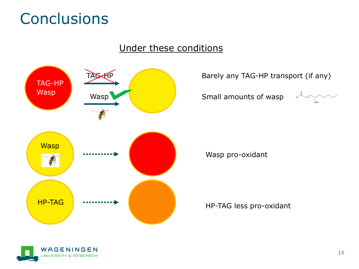## **Conclusions**

#### Under these conditions



 $\star$  TAG-HP transport (if any)

Small amounts of wasp



Wasp pro-oxidant

HP-TAG less pro-oxidant

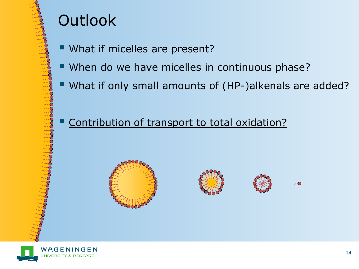# **Outlook**

- What if micelles are present?
- When do we have micelles in continuous phase?
- What if only small amounts of (HP-)alkenals are added?

#### Contribution of transport to total oxidation?







 $\sim$  0